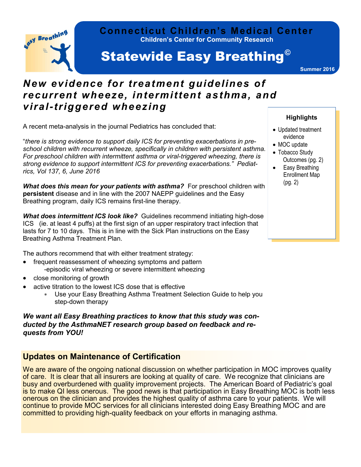

#### **Children's Center for Community Research Connecticut Children's Medical Center**

# **Statewide Easy Breathing<sup>®</sup>**

**Summer 2016**

## *New evidence for treatment guidelines of recurrent wheeze, intermittent asthma, and viral-triggered wheezing*

A recent meta-analysis in the journal Pediatrics has concluded that:

"*there is strong evidence to support daily ICS for preventing exacerbations in preschool children with recurrent wheeze, specifically in children with persistent asthma. For preschool children with intermittent asthma or viral-triggered wheezing, there is strong evidence to support intermittent ICS for preventing exacerbations." Pediatrics, Vol 137, 6, June 2016*

**What does this mean for your patients with asthma?** For preschool children with **persistent** disease and in line with the 2007 NAEPP guidelines and the Easy Breathing program, daily ICS remains first-line therapy.

*What does intermittent ICS look like?* Guidelines recommend initiating high-dose ICS (ie. at least 4 puffs) at the first sign of an upper respiratory tract infection that lasts for 7 to 10 days. This is in line with the Sick Plan instructions on the Easy Breathing Asthma Treatment Plan.

The authors recommend that with either treatment strategy:

- frequent reassessment of wheezing symptoms and pattern -episodic viral wheezing or severe intermittent wheezing
- close monitoring of growth
- active titration to the lowest ICS dose that is effective
	- Use your Easy Breathing Asthma Treatment Selection Guide to help you step-down therapy

*We want all Easy Breathing practices to know that this study was conducted by the AsthmaNET research group based on feedback and requests from YOU!* 

### **Updates on Maintenance of Certification**

We are aware of the ongoing national discussion on whether participation in MOC improves quality of care. It is clear that all insurers are looking at quality of care. We recognize that clinicians are busy and overburdened with quality improvement projects. The American Board of Pediatric's goal is to make QI less onerous. The good news is that participation in Easy Breathing MOC is both less onerous on the clinician and provides the highest quality of asthma care to your patients. We will continue to provide MOC services for all clinicians interested doing Easy Breathing MOC and are committed to providing high-quality feedback on your efforts in managing asthma.

#### **Highlights**

- Updated treatment evidence
- MOC update
- Tobacco Study Outcomes (pg. 2)
- Easy Breathing Enrollment Map (pg. 2)